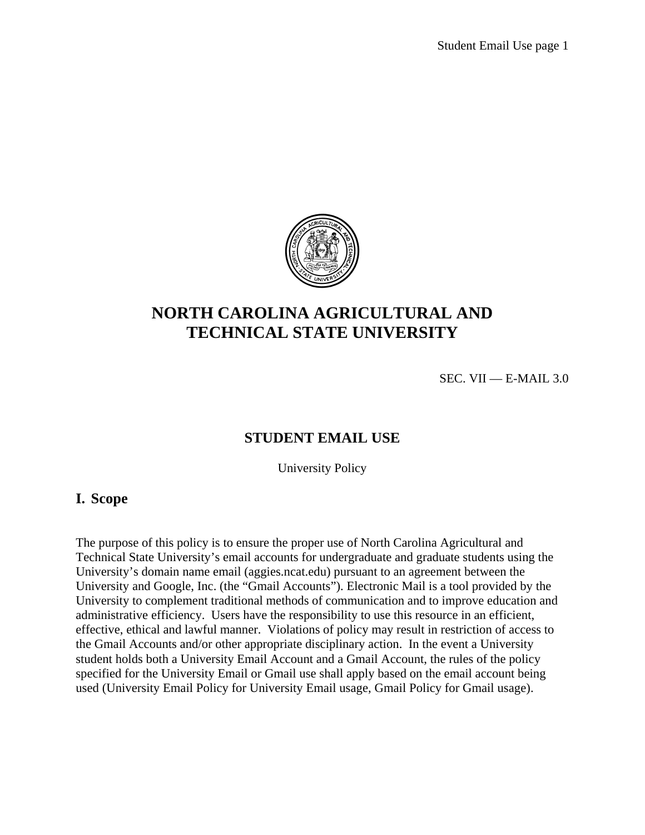

# **NORTH CAROLINA AGRICULTURAL AND TECHNICAL STATE UNIVERSITY**

SEC. VII — E-MAIL 3.0

#### **STUDENT EMAIL USE**

University Policy

#### **I. Scope**

The purpose of this policy is to ensure the proper use of North Carolina Agricultural and Technical State University's email accounts for undergraduate and graduate students using the University's domain name email (aggies.ncat.edu) pursuant to an agreement between the University and Google, Inc. (the "Gmail Accounts"). Electronic Mail is a tool provided by the University to complement traditional methods of communication and to improve education and administrative efficiency. Users have the responsibility to use this resource in an efficient, effective, ethical and lawful manner. Violations of policy may result in restriction of access to the Gmail Accounts and/or other appropriate disciplinary action. In the event a University student holds both a University Email Account and a Gmail Account, the rules of the policy specified for the University Email or Gmail use shall apply based on the email account being used (University Email Policy for University Email usage, Gmail Policy for Gmail usage).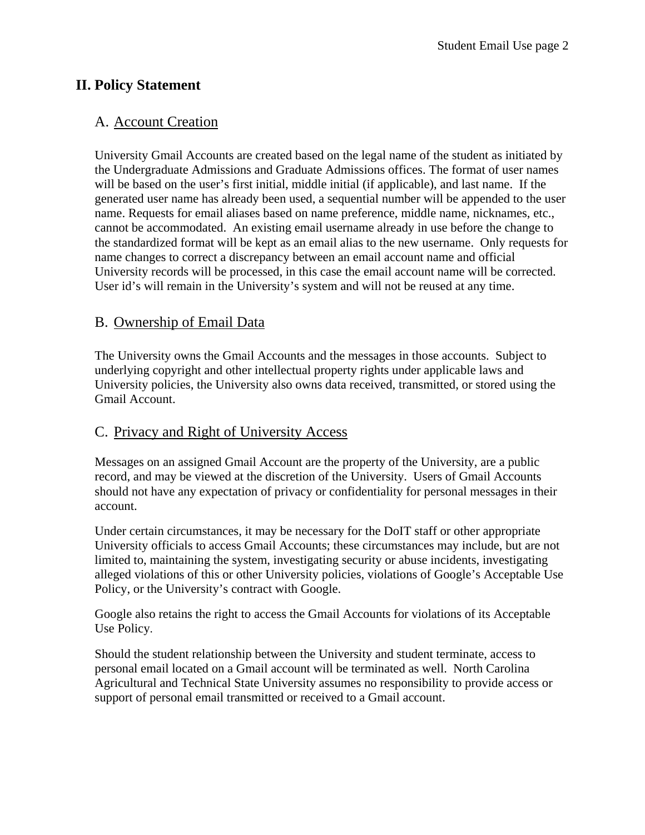### **II. Policy Statement**

#### A. Account Creation

University Gmail Accounts are created based on the legal name of the student as initiated by the Undergraduate Admissions and Graduate Admissions offices. The format of user names will be based on the user's first initial, middle initial (if applicable), and last name. If the generated user name has already been used, a sequential number will be appended to the user name. Requests for email aliases based on name preference, middle name, nicknames, etc., cannot be accommodated. An existing email username already in use before the change to the standardized format will be kept as an email alias to the new username. Only requests for name changes to correct a discrepancy between an email account name and official University records will be processed, in this case the email account name will be corrected. User id's will remain in the University's system and will not be reused at any time.

#### B. Ownership of Email Data

The University owns the Gmail Accounts and the messages in those accounts. Subject to underlying copyright and other intellectual property rights under applicable laws and University policies, the University also owns data received, transmitted, or stored using the Gmail Account.

### C. Privacy and Right of University Access

Messages on an assigned Gmail Account are the property of the University, are a public record, and may be viewed at the discretion of the University. Users of Gmail Accounts should not have any expectation of privacy or confidentiality for personal messages in their account.

Under certain circumstances, it may be necessary for the DoIT staff or other appropriate University officials to access Gmail Accounts; these circumstances may include, but are not limited to, maintaining the system, investigating security or abuse incidents, investigating alleged violations of this or other University policies, violations of Google's Acceptable Use Policy, or the University's contract with Google.

Google also retains the right to access the Gmail Accounts for violations of its Acceptable Use Policy.

Should the student relationship between the University and student terminate, access to personal email located on a Gmail account will be terminated as well. North Carolina Agricultural and Technical State University assumes no responsibility to provide access or support of personal email transmitted or received to a Gmail account.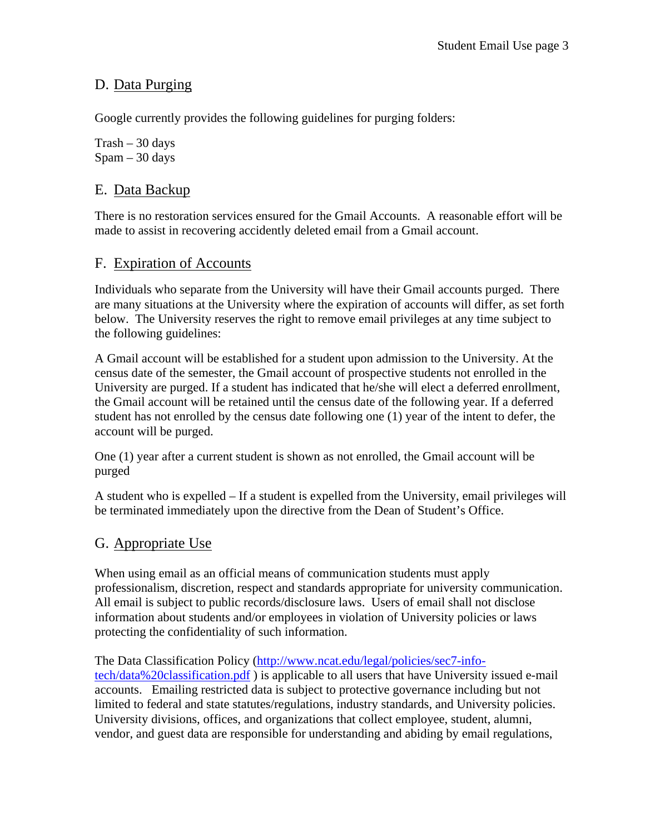### D. Data Purging

Google currently provides the following guidelines for purging folders:

 $Trash - 30$  days Spam – 30 days

#### E. Data Backup

There is no restoration services ensured for the Gmail Accounts. A reasonable effort will be made to assist in recovering accidently deleted email from a Gmail account.

### F. Expiration of Accounts

Individuals who separate from the University will have their Gmail accounts purged. There are many situations at the University where the expiration of accounts will differ, as set forth below. The University reserves the right to remove email privileges at any time subject to the following guidelines:

A Gmail account will be established for a student upon admission to the University. At the census date of the semester, the Gmail account of prospective students not enrolled in the University are purged. If a student has indicated that he/she will elect a deferred enrollment, the Gmail account will be retained until the census date of the following year. If a deferred student has not enrolled by the census date following one (1) year of the intent to defer, the account will be purged.

One (1) year after a current student is shown as not enrolled, the Gmail account will be purged

A student who is expelled – If a student is expelled from the University, email privileges will be terminated immediately upon the directive from the Dean of Student's Office.

### G. Appropriate Use

When using email as an official means of communication students must apply professionalism, discretion, respect and standards appropriate for university communication. All email is subject to public records/disclosure laws. Users of email shall not disclose information about students and/or employees in violation of University policies or laws protecting the confidentiality of such information.

The Data Classification Policy (http://www.ncat.edu/legal/policies/sec7-infotech/data%20classification.pdf ) is applicable to all users that have University issued e-mail accounts. Emailing restricted data is subject to protective governance including but not limited to federal and state statutes/regulations, industry standards, and University policies. University divisions, offices, and organizations that collect employee, student, alumni, vendor, and guest data are responsible for understanding and abiding by email regulations,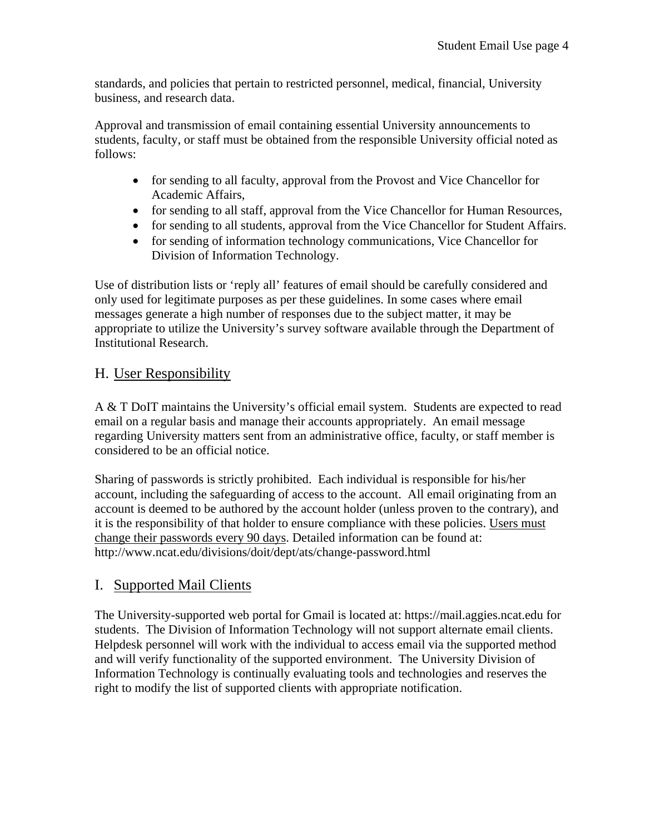standards, and policies that pertain to restricted personnel, medical, financial, University business, and research data.

Approval and transmission of email containing essential University announcements to students, faculty, or staff must be obtained from the responsible University official noted as follows:

- for sending to all faculty, approval from the Provost and Vice Chancellor for Academic Affairs,
- for sending to all staff, approval from the Vice Chancellor for Human Resources,
- for sending to all students, approval from the Vice Chancellor for Student Affairs.
- for sending of information technology communications, Vice Chancellor for Division of Information Technology.

Use of distribution lists or 'reply all' features of email should be carefully considered and only used for legitimate purposes as per these guidelines. In some cases where email messages generate a high number of responses due to the subject matter, it may be appropriate to utilize the University's survey software available through the Department of Institutional Research.

### H. User Responsibility

A & T DoIT maintains the University's official email system. Students are expected to read email on a regular basis and manage their accounts appropriately. An email message regarding University matters sent from an administrative office, faculty, or staff member is considered to be an official notice.

Sharing of passwords is strictly prohibited. Each individual is responsible for his/her account, including the safeguarding of access to the account. All email originating from an account is deemed to be authored by the account holder (unless proven to the contrary), and it is the responsibility of that holder to ensure compliance with these policies. Users must change their passwords every 90 days. Detailed information can be found at: http://www.ncat.edu/divisions/doit/dept/ats/change-password.html

### I. Supported Mail Clients

The University-supported web portal for Gmail is located at: https://mail.aggies.ncat.edu for students. The Division of Information Technology will not support alternate email clients. Helpdesk personnel will work with the individual to access email via the supported method and will verify functionality of the supported environment. The University Division of Information Technology is continually evaluating tools and technologies and reserves the right to modify the list of supported clients with appropriate notification.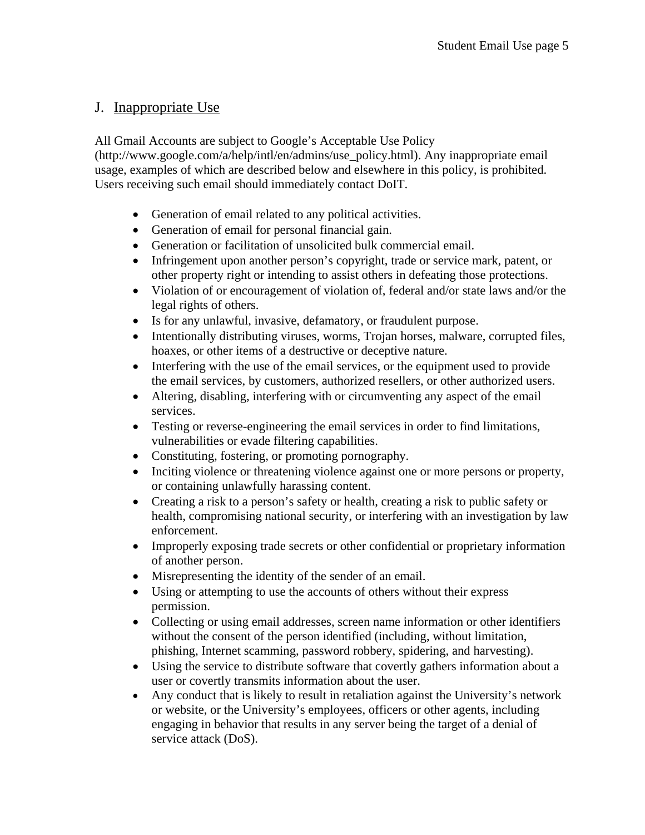### J. Inappropriate Use

All Gmail Accounts are subject to Google's Acceptable Use Policy (http://www.google.com/a/help/intl/en/admins/use\_policy.html). Any inappropriate email usage, examples of which are described below and elsewhere in this policy, is prohibited. Users receiving such email should immediately contact DoIT.

- Generation of email related to any political activities.
- Generation of email for personal financial gain.
- Generation or facilitation of unsolicited bulk commercial email.
- Infringement upon another person's copyright, trade or service mark, patent, or other property right or intending to assist others in defeating those protections.
- Violation of or encouragement of violation of, federal and/or state laws and/or the legal rights of others.
- Is for any unlawful, invasive, defamatory, or fraudulent purpose.
- Intentionally distributing viruses, worms, Trojan horses, malware, corrupted files, hoaxes, or other items of a destructive or deceptive nature.
- Interfering with the use of the email services, or the equipment used to provide the email services, by customers, authorized resellers, or other authorized users.
- Altering, disabling, interfering with or circumventing any aspect of the email services.
- Testing or reverse-engineering the email services in order to find limitations, vulnerabilities or evade filtering capabilities.
- Constituting, fostering, or promoting pornography.
- Inciting violence or threatening violence against one or more persons or property, or containing unlawfully harassing content.
- Creating a risk to a person's safety or health, creating a risk to public safety or health, compromising national security, or interfering with an investigation by law enforcement.
- Improperly exposing trade secrets or other confidential or proprietary information of another person.
- Misrepresenting the identity of the sender of an email.
- Using or attempting to use the accounts of others without their express permission.
- Collecting or using email addresses, screen name information or other identifiers without the consent of the person identified (including, without limitation, phishing, Internet scamming, password robbery, spidering, and harvesting).
- Using the service to distribute software that covertly gathers information about a user or covertly transmits information about the user.
- Any conduct that is likely to result in retaliation against the University's network or website, or the University's employees, officers or other agents, including engaging in behavior that results in any server being the target of a denial of service attack (DoS).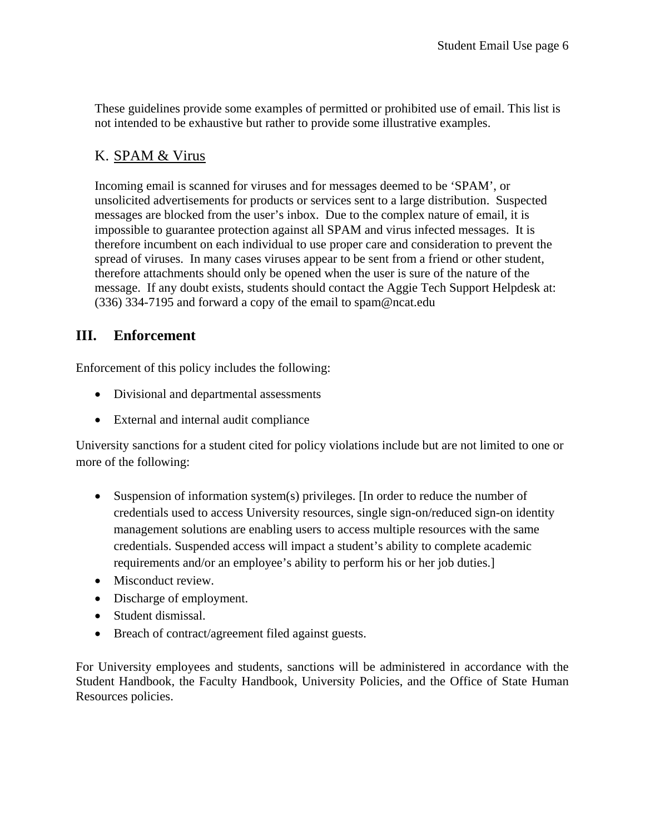These guidelines provide some examples of permitted or prohibited use of email. This list is not intended to be exhaustive but rather to provide some illustrative examples.

## K. SPAM & Virus

Incoming email is scanned for viruses and for messages deemed to be 'SPAM', or unsolicited advertisements for products or services sent to a large distribution. Suspected messages are blocked from the user's inbox. Due to the complex nature of email, it is impossible to guarantee protection against all SPAM and virus infected messages. It is therefore incumbent on each individual to use proper care and consideration to prevent the spread of viruses. In many cases viruses appear to be sent from a friend or other student, therefore attachments should only be opened when the user is sure of the nature of the message. If any doubt exists, students should contact the Aggie Tech Support Helpdesk at: (336) 334-7195 and forward a copy of the email to spam@ncat.edu

### **III. Enforcement**

Enforcement of this policy includes the following:

- Divisional and departmental assessments
- External and internal audit compliance

University sanctions for a student cited for policy violations include but are not limited to one or more of the following:

- Suspension of information system(s) privileges. [In order to reduce the number of credentials used to access University resources, single sign-on/reduced sign-on identity management solutions are enabling users to access multiple resources with the same credentials. Suspended access will impact a student's ability to complete academic requirements and/or an employee's ability to perform his or her job duties.]
- Misconduct review.
- Discharge of employment.
- Student dismissal.
- Breach of contract/agreement filed against guests.

For University employees and students, sanctions will be administered in accordance with the Student Handbook, the Faculty Handbook, University Policies, and the Office of State Human Resources policies.